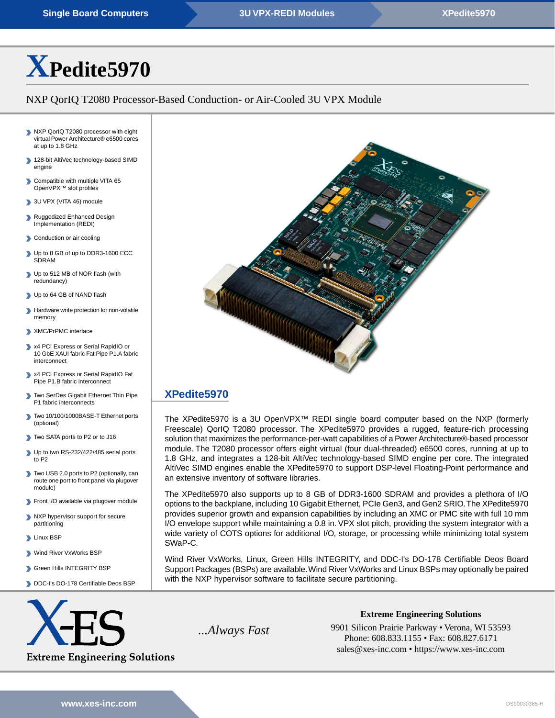# **[X](https://www.xes-inc.com/products/sbcs/xpedite5970/?utm_source=dynamic&utm_medium=referral&utm_term=XPedite5970&utm_content=Title&utm_campaign=Datasheet)[Pedite5970](https://www.xes-inc.com/products/sbcs/xpedite5970/?utm_source=dynamic&utm_medium=referral&utm_term=XPedite5970&utm_content=Title&utm_campaign=Datasheet)**

# NXP QorIQ T2080 Processor-Based Conduction- or Air-Cooled 3U VPX Module

- NXP QorIQ T2080 processor with eight virtual Power Architecture® e6500 cores at up to 1.8 GHz
- 128-bit AltiVec technology-based SIMD engine
- ⋗ Compatible with multiple VITA 65 OpenVPX™ slot profiles
- 3U VPX (VITA 46) module
- Ruggedized Enhanced Design Implementation (REDI)
- Conduction or air cooling
- Up to 8 GB of up to DDR3-1600 ECC SDRAM
- Up to 512 MB of NOR flash (with redundancy)
- Up to 64 GB of NAND flash
- **Hardware write protection for non-volatile** memory
- XMC/PrPMC interface
- x4 PCI Express or Serial RapidIO or 10 GbE XAUI fabric Fat Pipe P1.A fabric interconnect
- x4 PCI Express or Serial RapidIO Fat Pipe P1.B fabric interconnect
- Two SerDes Gigabit Ethernet Thin Pipe P1 fabric interconnects
- Two 10/100/1000BASE-T Ethernet ports (optional)
- Two SATA ports to P2 or to J16
- Up to two RS-232/422/485 serial ports to P2
- Two USB 2.0 ports to P2 (optionally, can route one port to front panel via plugover module)
- Front I/O available via plugover module
- NXP hypervisor support for secure partitioning
- **Linux BSP**
- Wind River VxWorks BSP
- Green Hills INTEGRITY BSP
- DDC-I's DO-178 Certifiable Deos BSP





# **[XPedite5970](https://www.xes-inc.com/products/sbcs/xpedite5970/?utm_source=dynamic&utm_medium=referral&utm_term=XPedite5970&utm_content=Description%20Title&utm_campaign=Datasheet)**

The XPedite5970 is a 3U OpenVPX™ REDI single board computer based on the NXP (formerly Freescale) QorIQ T2080 processor. The XPedite5970 provides a rugged, feature-rich processing solution that maximizes the performance-per-watt capabilities of a Power Architecture®-based processor module. The T2080 processor offers eight virtual (four dual-threaded) e6500 cores, running at up to 1.8 GHz, and integrates a 128-bit AltiVec technology-based SIMD engine per core. The integrated AltiVec SIMD engines enable the XPedite5970 to support DSP-level Floating-Point performance and an extensive inventory of software libraries.

The XPedite5970 also supports up to 8 GB of DDR3-1600 SDRAM and provides a plethora of I/O options to the backplane, including 10 Gigabit Ethernet, PCIe Gen3, and Gen2 SRIO.The XPedite5970 provides superior growth and expansion capabilities by including an XMC or PMC site with full 10 mm I/O envelope support while maintaining a 0.8 in. VPX slot pitch, providing the system integrator with a wide variety of COTS options for additional I/O, storage, or processing while minimizing total system SWaP-C.

Wind River VxWorks, Linux, Green Hills INTEGRITY, and DDC-I's DO-178 Certifiable Deos Board Support Packages (BSPs) are available.Wind River VxWorks and Linux BSPs may optionally be paired with the NXP hypervisor software to facilitate secure partitioning.



**Extreme Engineering Solutions**

...*Always Fast* 9901 Silicon Prairie Parkway • Verona, WI 53593 Phone: 608.833.1155 • Fax: 608.827.6171 sales@xes-inc.com • <https://www.xes-inc.com>